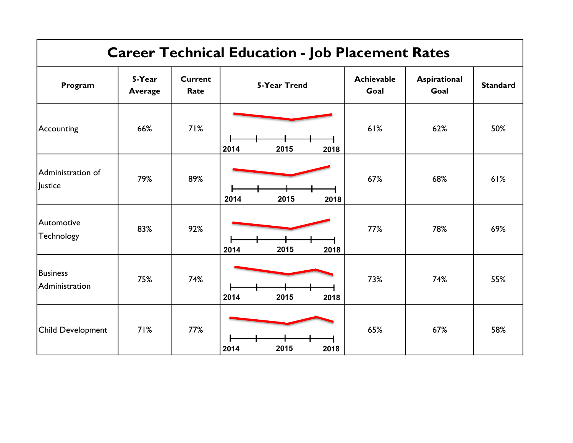| <b>Career Technical Education - Job Placement Rates</b> |                          |                        |                      |                           |                      |                 |
|---------------------------------------------------------|--------------------------|------------------------|----------------------|---------------------------|----------------------|-----------------|
| Program                                                 | 5-Year<br><b>Average</b> | <b>Current</b><br>Rate | <b>5-Year Trend</b>  | <b>Achievable</b><br>Goal | Aspirational<br>Goal | <b>Standard</b> |
| Accounting                                              | 66%                      | 71%                    | 2015<br>2014<br>2018 | 61%                       | 62%                  | 50%             |
| Administration of<br>Justice                            | 79%                      | 89%                    | 2014<br>2015<br>2018 | 67%                       | 68%                  | 61%             |
| Automotive<br>Technology                                | 83%                      | 92%                    | 2015<br>2014<br>2018 | 77%                       | 78%                  | 69%             |
| <b>Business</b><br>Administration                       | 75%                      | 74%                    | 2015<br>2014<br>2018 | 73%                       | 74%                  | 55%             |
| <b>Child Development</b>                                | 71%                      | 77%                    | 2015<br>2014<br>2018 | 65%                       | 67%                  | 58%             |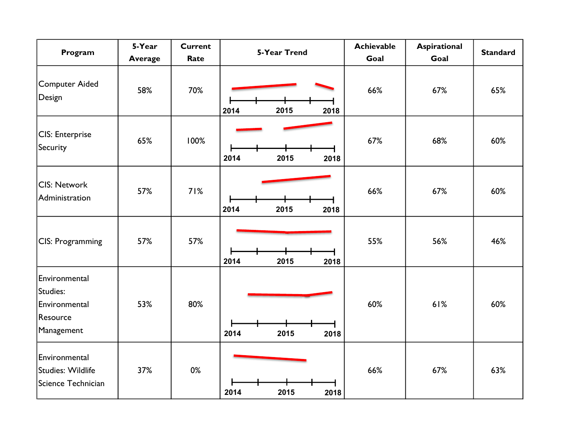| Program                                                              | 5-Year<br><b>Average</b> | <b>Current</b><br>Rate | <b>5-Year Trend</b>  | <b>Achievable</b><br>Goal | <b>Aspirational</b><br>Goal | <b>Standard</b> |
|----------------------------------------------------------------------|--------------------------|------------------------|----------------------|---------------------------|-----------------------------|-----------------|
| <b>Computer Aided</b><br>Design                                      | 58%                      | 70%                    | 2015<br>2014<br>2018 | 66%                       | 67%                         | 65%             |
| CIS: Enterprise<br>Security                                          | 65%                      | 100%                   | 2014<br>2015<br>2018 | 67%                       | 68%                         | 60%             |
| <b>CIS: Network</b><br>Administration                                | 57%                      | 71%                    | 2014<br>2015<br>2018 | 66%                       | 67%                         | 60%             |
| CIS: Programming                                                     | 57%                      | 57%                    | 2015<br>2014<br>2018 | 55%                       | 56%                         | 46%             |
| Environmental<br>Studies:<br>Environmental<br>Resource<br>Management | 53%                      | 80%                    | 2014<br>2015<br>2018 | 60%                       | 61%                         | 60%             |
| Environmental<br>Studies: Wildlife<br>Science Technician             | 37%                      | 0%                     | 2015<br>2014<br>2018 | 66%                       | 67%                         | 63%             |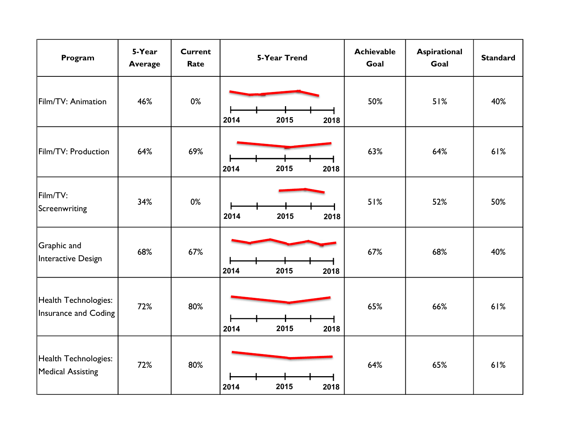| Program                                             | 5-Year<br><b>Average</b> | <b>Current</b><br>Rate | <b>5-Year Trend</b>  | <b>Achievable</b><br>Goal | Aspirational<br>Goal | <b>Standard</b> |
|-----------------------------------------------------|--------------------------|------------------------|----------------------|---------------------------|----------------------|-----------------|
| Film/TV: Animation                                  | 46%                      | 0%                     | 2014<br>2015<br>2018 | 50%                       | 51%                  | 40%             |
| Film/TV: Production                                 | 64%                      | 69%                    | 2014<br>2015<br>2018 | 63%                       | 64%                  | 61%             |
| Film/TV:<br>Screenwriting                           | 34%                      | 0%                     | 2015<br>2014<br>2018 | 51%                       | 52%                  | 50%             |
| Graphic and<br>Interactive Design                   | 68%                      | 67%                    | 2014<br>2015<br>2018 | 67%                       | 68%                  | 40%             |
| Health Technologies:<br><b>Insurance and Coding</b> | 72%                      | 80%                    | 2014<br>2015<br>2018 | 65%                       | 66%                  | 61%             |
| Health Technologies:<br><b>Medical Assisting</b>    | 72%                      | 80%                    | 2014<br>2015<br>2018 | 64%                       | 65%                  | 61%             |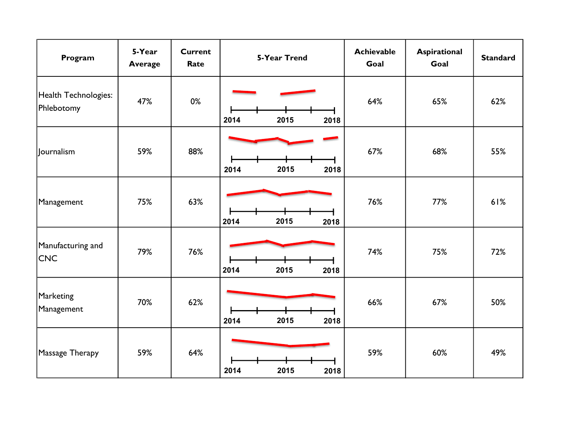| Program                            | 5-Year<br><b>Average</b> | <b>Current</b><br>Rate | <b>5-Year Trend</b>  | <b>Achievable</b><br>Goal | Aspirational<br>Goal | <b>Standard</b> |
|------------------------------------|--------------------------|------------------------|----------------------|---------------------------|----------------------|-----------------|
| Health Technologies:<br>Phlebotomy | 47%                      | 0%                     | 2015<br>2014<br>2018 | 64%                       | 65%                  | 62%             |
| Journalism                         | 59%                      | 88%                    | 2014<br>2015<br>2018 | 67%                       | 68%                  | 55%             |
| Management                         | 75%                      | 63%                    | 2015<br>2014<br>2018 | 76%                       | 77%                  | 61%             |
| Manufacturing and<br><b>CNC</b>    | 79%                      | 76%                    | 2015<br>2014<br>2018 | 74%                       | 75%                  | 72%             |
| Marketing<br>Management            | 70%                      | 62%                    | 2015<br>2014<br>2018 | 66%                       | 67%                  | 50%             |
| Massage Therapy                    | 59%                      | 64%                    | 2014<br>2015<br>2018 | 59%                       | 60%                  | 49%             |